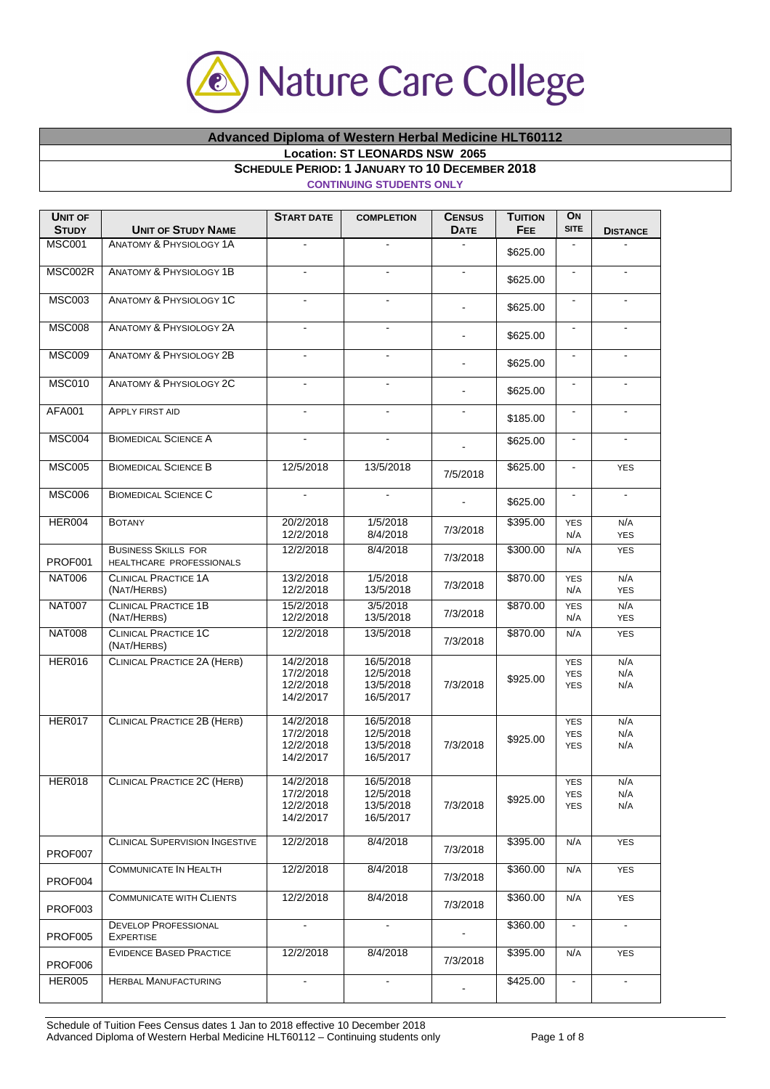

## **Advanced Diploma of Western Herbal Medicine HLT60112 Location: ST LEONARDS NSW 2065**

**SCHEDULE PERIOD: 1 JANUARY TO 10 DECEMBER 2018** 

## **CONTINUING STUDENTS ONLY**

| <b>UNIT OF</b><br><b>STUDY</b> | <b>UNIT OF STUDY NAME</b>                              | <b>START DATE</b>                                | <b>COMPLETION</b>                                | <b>CENSUS</b><br><b>DATE</b> | <b>TUITION</b><br><b>FEE</b> | ON<br><b>SITE</b>                      | <b>DISTANCE</b>   |
|--------------------------------|--------------------------------------------------------|--------------------------------------------------|--------------------------------------------------|------------------------------|------------------------------|----------------------------------------|-------------------|
| <b>MSC001</b>                  | <b>ANATOMY &amp; PHYSIOLOGY 1A</b>                     | $\blacksquare$                                   | $\blacksquare$                                   | $\blacksquare$               | \$625.00                     | $\blacksquare$                         |                   |
| MSC002R                        | <b>ANATOMY &amp; PHYSIOLOGY 1B</b>                     | $\overline{\phantom{a}}$                         |                                                  | $\blacksquare$               | \$625.00                     | $\blacksquare$                         | $\blacksquare$    |
| <b>MSC003</b>                  | <b>ANATOMY &amp; PHYSIOLOGY 1C</b>                     |                                                  |                                                  | $\blacksquare$               | \$625.00                     | $\blacksquare$                         | $\blacksquare$    |
| <b>MSC008</b>                  | <b>ANATOMY &amp; PHYSIOLOGY 2A</b>                     | $\blacksquare$                                   | $\blacksquare$                                   | $\blacksquare$               | \$625.00                     | $\blacksquare$                         | $\blacksquare$    |
| <b>MSC009</b>                  | <b>ANATOMY &amp; PHYSIOLOGY 2B</b>                     |                                                  |                                                  | ä,                           | \$625.00                     | $\blacksquare$                         |                   |
| <b>MSC010</b>                  | ANATOMY & PHYSIOLOGY 2C                                | $\blacksquare$                                   | $\blacksquare$                                   | $\blacksquare$               | \$625.00                     | $\blacksquare$                         | $\blacksquare$    |
| <b>AFA001</b>                  | <b>APPLY FIRST AID</b>                                 | $\blacksquare$                                   | $\blacksquare$                                   | $\blacksquare$               | \$185.00                     | $\blacksquare$                         | $\blacksquare$    |
| MSC004                         | <b>BIOMEDICAL SCIENCE A</b>                            | $\blacksquare$                                   | $\blacksquare$                                   |                              | \$625.00                     | $\blacksquare$                         |                   |
| <b>MSC005</b>                  | <b>BIOMEDICAL SCIENCE B</b>                            | 12/5/2018                                        | 13/5/2018                                        | 7/5/2018                     | \$625.00                     | $\blacksquare$                         | <b>YES</b>        |
| <b>MSC006</b>                  | <b>BIOMEDICAL SCIENCE C</b>                            |                                                  |                                                  |                              | \$625.00                     | $\blacksquare$                         | $\blacksquare$    |
| HER004                         | <b>BOTANY</b>                                          | 20/2/2018<br>12/2/2018                           | 1/5/2018<br>8/4/2018                             | 7/3/2018                     | \$395.00                     | <b>YES</b><br>N/A                      | N/A<br><b>YES</b> |
| PROF001                        | <b>BUSINESS SKILLS FOR</b><br>HEALTHCARE PROFESSIONALS | 12/2/2018                                        | 8/4/2018                                         | 7/3/2018                     | \$300.00                     | N/A                                    | <b>YES</b>        |
| <b>NAT006</b>                  | <b>CLINICAL PRACTICE 1A</b><br>(NAT/HERBS)             | 13/2/2018<br>12/2/2018                           | 1/5/2018<br>13/5/2018                            | 7/3/2018                     | \$870.00                     | <b>YES</b><br>N/A                      | N/A<br><b>YES</b> |
| <b>NAT007</b>                  | <b>CLINICAL PRACTICE 1B</b><br>(NAT/HERBS)             | 15/2/2018<br>12/2/2018                           | 3/5/2018<br>13/5/2018                            | 7/3/2018                     | \$870.00                     | <b>YES</b><br>N/A                      | N/A<br><b>YES</b> |
| <b>NAT008</b>                  | <b>CLINICAL PRACTICE 1C</b><br>(NAT/HERBS)             | 12/2/2018                                        | 13/5/2018                                        | 7/3/2018                     | \$870.00                     | N/A                                    | <b>YES</b>        |
| <b>HER016</b>                  | <b>CLINICAL PRACTICE 2A (HERB)</b>                     | 14/2/2018<br>17/2/2018<br>12/2/2018<br>14/2/2017 | 16/5/2018<br>12/5/2018<br>13/5/2018<br>16/5/2017 | 7/3/2018                     | \$925.00                     | <b>YES</b><br><b>YES</b><br><b>YES</b> | N/A<br>N/A<br>N/A |
| <b>HER017</b>                  | CLINICAL PRACTICE 2B (HERB)                            | 14/2/2018<br>17/2/2018<br>12/2/2018<br>14/2/2017 | 16/5/2018<br>12/5/2018<br>13/5/2018<br>16/5/2017 | 7/3/2018                     | \$925.00                     | <b>YES</b><br><b>YES</b><br><b>YES</b> | N/A<br>N/A<br>N/A |
| HER018                         | CLINICAL PRACTICE 2C (HERB)                            | 14/2/2018<br>17/2/2018<br>12/2/2018<br>14/2/2017 | 16/5/2018<br>12/5/2018<br>13/5/2018<br>16/5/2017 | 7/3/2018                     | \$925.00                     | <b>YES</b><br>YES<br><b>YES</b>        | N/A<br>N/A<br>N/A |
| PROF007                        | <b>CLINICAL SUPERVISION INGESTIVE</b>                  | 12/2/2018                                        | 8/4/2018                                         | 7/3/2018                     | \$395.00                     | N/A                                    | <b>YES</b>        |
| PROF004                        | COMMUNICATE IN HEALTH                                  | 12/2/2018                                        | 8/4/2018                                         | 7/3/2018                     | \$360.00                     | N/A                                    | <b>YES</b>        |
| PROF003                        | <b>COMMUNICATE WITH CLIENTS</b>                        | 12/2/2018                                        | 8/4/2018                                         | 7/3/2018                     | \$360.00                     | N/A                                    | <b>YES</b>        |
| <b>PROF005</b>                 | <b>DEVELOP PROFESSIONAL</b><br>EXPERTISE               |                                                  |                                                  |                              | \$360.00                     | $\blacksquare$                         | $\blacksquare$    |
| PROF006                        | <b>EVIDENCE BASED PRACTICE</b>                         | 12/2/2018                                        | 8/4/2018                                         | 7/3/2018                     | \$395.00                     | N/A                                    | <b>YES</b>        |
| <b>HER005</b>                  | <b>HERBAL MANUFACTURING</b>                            | $\sim$                                           | $\blacksquare$                                   |                              | \$425.00                     | $\blacksquare$                         | $\blacksquare$    |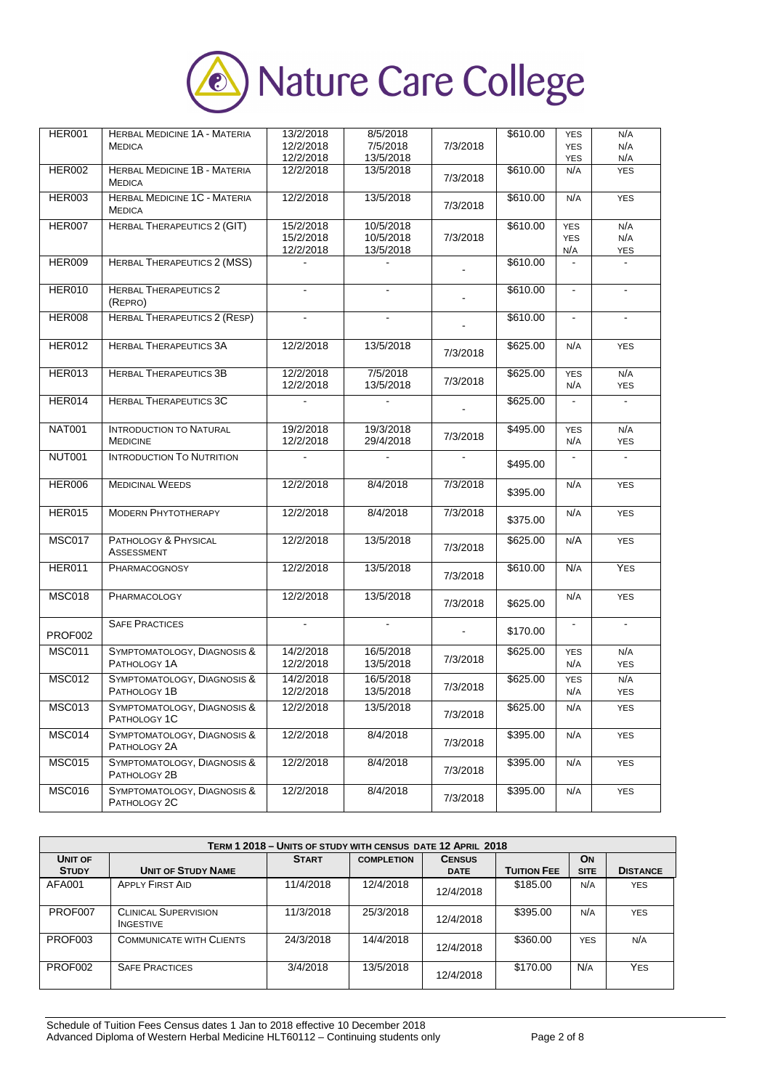

| <b>HER001</b> | <b>HERBAL MEDICINE 1A - MATERIA</b><br><b>MEDICA</b> | 13/2/2018<br>12/2/2018 | 8/5/2018<br>7/5/2018   | 7/3/2018       | \$610.00 | <b>YES</b><br><b>YES</b> | N/A<br>N/A        |
|---------------|------------------------------------------------------|------------------------|------------------------|----------------|----------|--------------------------|-------------------|
|               |                                                      | 12/2/2018              | 13/5/2018              |                |          | YES                      | N/A               |
| <b>HER002</b> | HERBAL MEDICINE 1B - MATERIA<br><b>MEDICA</b>        | 12/2/2018              | 13/5/2018              | 7/3/2018       | \$610.00 | N/A                      | <b>YES</b>        |
| <b>HER003</b> | <b>HERBAL MEDICINE 1C - MATERIA</b><br><b>MEDICA</b> | 12/2/2018              | 13/5/2018              | 7/3/2018       | \$610.00 | N/A                      | <b>YES</b>        |
| <b>HER007</b> | <b>HERBAL THERAPEUTICS 2 (GIT)</b>                   | 15/2/2018<br>15/2/2018 | 10/5/2018<br>10/5/2018 | 7/3/2018       | \$610.00 | <b>YES</b><br><b>YES</b> | N/A<br>N/A        |
|               |                                                      | 12/2/2018              | 13/5/2018              |                |          | N/A                      | <b>YES</b>        |
| <b>HER009</b> | <b>HERBAL THERAPEUTICS 2 (MSS)</b>                   |                        | $\blacksquare$         |                | \$610.00 | $\blacksquare$           | $\blacksquare$    |
| <b>HER010</b> | <b>HERBAL THERAPEUTICS 2</b><br>(REPRO)              | $\blacksquare$         | ۰.                     | $\blacksquare$ | \$610.00 | $\blacksquare$           | $\blacksquare$    |
| <b>HER008</b> | <b>HERBAL THERAPEUTICS 2 (RESP)</b>                  |                        |                        |                | \$610.00 | $\blacksquare$           |                   |
| <b>HER012</b> | <b>HERBAL THERAPEUTICS 3A</b>                        | 12/2/2018              | 13/5/2018              | 7/3/2018       | \$625.00 | N/A                      | <b>YES</b>        |
| HER013        | <b>HERBAL THERAPEUTICS 3B</b>                        | 12/2/2018<br>12/2/2018 | 7/5/2018<br>13/5/2018  | 7/3/2018       | \$625.00 | <b>YES</b><br>N/A        | N/A<br><b>YES</b> |
| HER014        | <b>HERBAL THERAPEUTICS 3C</b>                        |                        |                        |                | \$625.00 | $\blacksquare$           | $\blacksquare$    |
| <b>NAT001</b> | <b>INTRODUCTION TO NATURAL</b><br><b>MEDICINE</b>    | 19/2/2018<br>12/2/2018 | 19/3/2018<br>29/4/2018 | 7/3/2018       | \$495.00 | <b>YES</b><br>N/A        | N/A<br><b>YES</b> |
| <b>NUT001</b> | <b>INTRODUCTION TO NUTRITION</b>                     |                        |                        |                | \$495.00 |                          |                   |
| <b>HER006</b> | <b>MEDICINAL WEEDS</b>                               | 12/2/2018              | 8/4/2018               | 7/3/2018       | \$395.00 | N/A                      | <b>YES</b>        |
| <b>HER015</b> | <b>MODERN PHYTOTHERAPY</b>                           | 12/2/2018              | 8/4/2018               | 7/3/2018       | \$375.00 | N/A                      | <b>YES</b>        |
| MSC017        | PATHOLOGY & PHYSICAL<br>ASSESSMENT                   | 12/2/2018              | 13/5/2018              | 7/3/2018       | \$625.00 | N/A                      | <b>YES</b>        |
| <b>HER011</b> | <b>PHARMACOGNOSY</b>                                 | 12/2/2018              | 13/5/2018              | 7/3/2018       | \$610.00 | N/A                      | <b>YES</b>        |
| <b>MSC018</b> | PHARMACOLOGY                                         | 12/2/2018              | 13/5/2018              | 7/3/2018       | \$625.00 | N/A                      | <b>YES</b>        |
| PROF002       | <b>SAFE PRACTICES</b>                                | $\blacksquare$         | $\blacksquare$         | $\blacksquare$ | \$170.00 | $\blacksquare$           | $\blacksquare$    |
| <b>MSC011</b> | SYMPTOMATOLOGY, DIAGNOSIS &<br>PATHOLOGY 1A          | 14/2/2018<br>12/2/2018 | 16/5/2018<br>13/5/2018 | 7/3/2018       | \$625.00 | <b>YES</b><br>N/A        | N/A<br><b>YES</b> |
| <b>MSC012</b> | SYMPTOMATOLOGY, DIAGNOSIS &<br>PATHOLOGY 1B          | 14/2/2018<br>12/2/2018 | 16/5/2018<br>13/5/2018 | 7/3/2018       | \$625.00 | <b>YES</b><br>N/A        | N/A<br><b>YES</b> |
| <b>MSC013</b> | SYMPTOMATOLOGY, DIAGNOSIS &<br>PATHOLOGY 1C          | 12/2/2018              | 13/5/2018              | 7/3/2018       | \$625.00 | N/A                      | <b>YES</b>        |
| MSC014        | SYMPTOMATOLOGY, DIAGNOSIS &<br>PATHOLOGY 2A          | 12/2/2018              | 8/4/2018               | 7/3/2018       | \$395.00 | N/A                      | <b>YES</b>        |
| <b>MSC015</b> | SYMPTOMATOLOGY, DIAGNOSIS &<br>PATHOLOGY 2B          | 12/2/2018              | 8/4/2018               | 7/3/2018       | \$395.00 | N/A                      | <b>YES</b>        |
| <b>MSC016</b> | SYMPTOMATOLOGY, DIAGNOSIS &<br>PATHOLOGY 2C          | 12/2/2018              | 8/4/2018               | 7/3/2018       | \$395.00 | N/A                      | <b>YES</b>        |

|              | TERM 1 2018 - UNITS OF STUDY WITH CENSUS DATE 12 APRIL 2018 |              |                   |               |                    |             |                 |  |  |
|--------------|-------------------------------------------------------------|--------------|-------------------|---------------|--------------------|-------------|-----------------|--|--|
| UNIT OF      |                                                             | <b>START</b> | <b>COMPLETION</b> | <b>CENSUS</b> |                    | <b>ON</b>   |                 |  |  |
| <b>STUDY</b> | <b>UNIT OF STUDY NAME</b>                                   |              |                   | <b>DATE</b>   | <b>TUITION FEE</b> | <b>SITE</b> | <b>DISTANCE</b> |  |  |
| AFA001       | <b>APPLY FIRST AID</b>                                      | 11/4/2018    | 12/4/2018         | 12/4/2018     | \$185.00           | N/A         | <b>YES</b>      |  |  |
| PROF007      | <b>CLINICAL SUPERVISION</b><br><b>INGESTIVE</b>             | 11/3/2018    | 25/3/2018         | 12/4/2018     | \$395.00           | N/A         | <b>YES</b>      |  |  |
| PROF003      | <b>COMMUNICATE WITH CLIENTS</b>                             | 24/3/2018    | 14/4/2018         | 12/4/2018     | \$360.00           | <b>YES</b>  | N/A             |  |  |
| PROF002      | <b>SAFE PRACTICES</b>                                       | 3/4/2018     | 13/5/2018         | 12/4/2018     | \$170.00           | N/A         | <b>YES</b>      |  |  |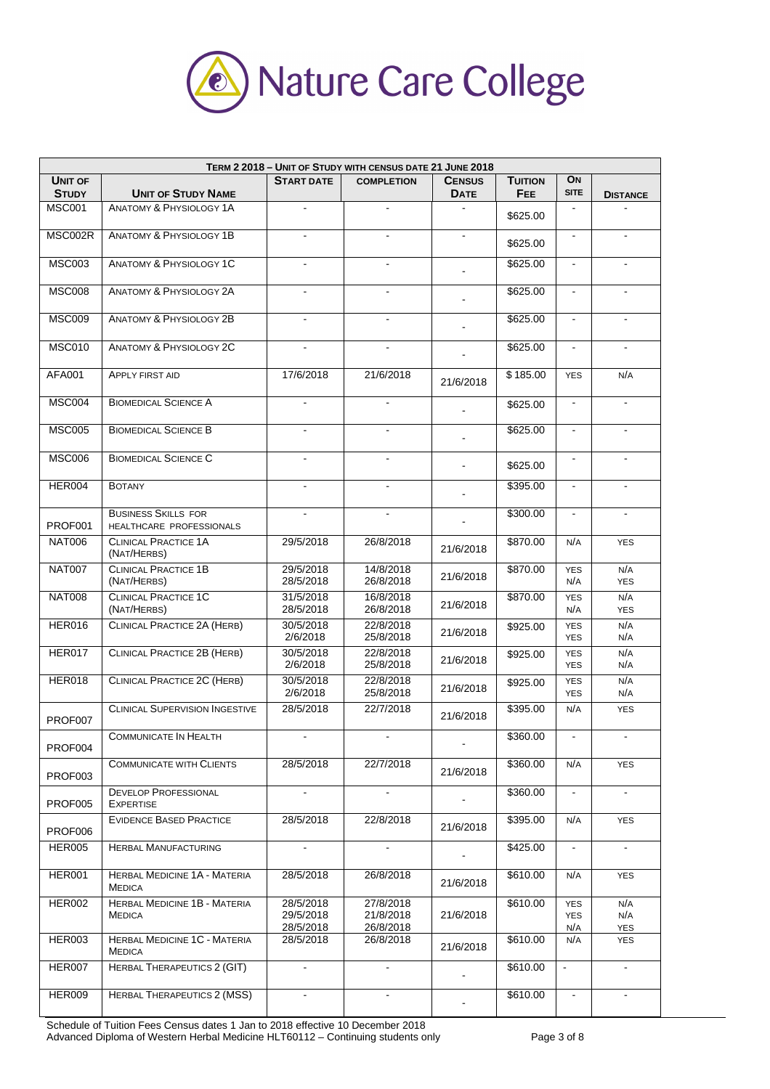

| TERM 2 2018 - UNIT OF STUDY WITH CENSUS DATE 21 JUNE 2018 |                                                        |                                     |                                     |                              |                              |                                 |                          |
|-----------------------------------------------------------|--------------------------------------------------------|-------------------------------------|-------------------------------------|------------------------------|------------------------------|---------------------------------|--------------------------|
| <b>UNIT OF</b><br><b>STUDY</b>                            | <b>UNIT OF STUDY NAME</b>                              | <b>START DATE</b>                   | <b>COMPLETION</b>                   | <b>CENSUS</b><br><b>DATE</b> | <b>TUITION</b><br><b>FEE</b> | ON<br><b>SITE</b>               | <b>DISTANCE</b>          |
| <b>MSC001</b>                                             | <b>ANATOMY &amp; PHYSIOLOGY 1A</b>                     | $\blacksquare$                      | $\blacksquare$                      |                              | \$625.00                     | $\overline{\phantom{a}}$        |                          |
| MSC002R                                                   | <b>ANATOMY &amp; PHYSIOLOGY 1B</b>                     |                                     |                                     |                              | \$625.00                     | $\blacksquare$                  |                          |
| <b>MSC003</b>                                             | <b>ANATOMY &amp; PHYSIOLOGY 1C</b>                     | $\blacksquare$                      | $\blacksquare$                      |                              | \$625.00                     | $\blacksquare$                  | $\blacksquare$           |
| <b>MSC008</b>                                             | <b>ANATOMY &amp; PHYSIOLOGY 2A</b>                     | $\blacksquare$                      | $\blacksquare$                      | $\blacksquare$               | \$625.00                     | $\blacksquare$                  | $\blacksquare$           |
| <b>MSC009</b>                                             | <b>ANATOMY &amp; PHYSIOLOGY 2B</b>                     |                                     |                                     |                              | \$625.00                     | $\blacksquare$                  |                          |
| <b>MSC010</b>                                             | <b>ANATOMY &amp; PHYSIOLOGY 2C</b>                     | $\blacksquare$                      | $\blacksquare$                      |                              | \$625.00                     | $\blacksquare$                  | $\blacksquare$           |
| <b>AFA001</b>                                             | <b>APPLY FIRST AID</b>                                 | 17/6/2018                           | 21/6/2018                           | 21/6/2018                    | \$185.00                     | <b>YES</b>                      | N/A                      |
| MSC004                                                    | <b>BIOMEDICAL SCIENCE A</b>                            |                                     |                                     |                              | \$625.00                     | $\blacksquare$                  |                          |
| <b>MSC005</b>                                             | <b>BIOMEDICAL SCIENCE B</b>                            |                                     |                                     |                              | \$625.00                     | $\blacksquare$                  |                          |
| <b>MSC006</b>                                             | <b>BIOMEDICAL SCIENCE C</b>                            | $\blacksquare$                      | $\blacksquare$                      |                              | \$625.00                     | $\blacksquare$                  | $\blacksquare$           |
| HER004                                                    | <b>BOTANY</b>                                          |                                     |                                     |                              | \$395.00                     | $\blacksquare$                  |                          |
| PROF001                                                   | <b>BUSINESS SKILLS FOR</b><br>HEALTHCARE PROFESSIONALS |                                     |                                     |                              | \$300.00                     | $\blacksquare$                  |                          |
| <b>NAT006</b>                                             | <b>CLINICAL PRACTICE 1A</b><br>(NAT/HERBS)             | 29/5/2018                           | 26/8/2018                           | 21/6/2018                    | \$870.00                     | N/A                             | <b>YES</b>               |
| <b>NAT007</b>                                             | <b>CLINICAL PRACTICE 1B</b><br>(NAT/HERBS)             | 29/5/2018<br>28/5/2018              | 14/8/2018<br>26/8/2018              | 21/6/2018                    | \$870.00                     | <b>YES</b><br>N/A               | N/A<br><b>YES</b>        |
| <b>NAT008</b>                                             | <b>CLINICAL PRACTICE 1C</b><br>(NAT/HERBS)             | 31/5/2018<br>28/5/2018              | 16/8/2018<br>26/8/2018              | 21/6/2018                    | \$870.00                     | <b>YES</b><br>N/A               | N/A<br><b>YES</b>        |
| <b>HER016</b>                                             | <b>CLINICAL PRACTICE 2A (HERB)</b>                     | 30/5/2018<br>2/6/2018               | 22/8/2018<br>25/8/2018              | 21/6/2018                    | \$925.00                     | <b>YES</b><br><b>YES</b>        | N/A<br>N/A               |
| <b>HER017</b>                                             | <b>CLINICAL PRACTICE 2B (HERB)</b>                     | 30/5/2018<br>2/6/2018               | 22/8/2018<br>25/8/2018              | 21/6/2018                    | \$925.00                     | <b>YES</b><br><b>YES</b>        | N/A<br>N/A               |
| HER018                                                    | <b>CLINICAL PRACTICE 2C (HERB)</b>                     | 30/5/2018<br>2/6/2018               | 22/8/2018<br>25/8/2018              | 21/6/2018                    | \$925.00                     | <b>YES</b><br><b>YES</b>        | N/A<br>N/A               |
| PROF007                                                   | <b>CLINICAL SUPERVISION INGESTIVE</b>                  | 28/5/2018                           | 22/7/2018                           | 21/6/2018                    | \$395.00                     | N/A                             | <b>YES</b>               |
| PROF004                                                   | <b>COMMUNICATE IN HEALTH</b>                           |                                     |                                     |                              | \$360.00                     | $\blacksquare$                  |                          |
| PROF003                                                   | <b>COMMUNICATE WITH CLIENTS</b>                        | 28/5/2018                           | 22/7/2018                           | 21/6/2018                    | \$360.00                     | N/A                             | <b>YES</b>               |
| <b>PROF005</b>                                            | <b>DEVELOP PROFESSIONAL</b><br><b>EXPERTISE</b>        | $\blacksquare$                      | $\blacksquare$                      | $\mathbf{r}$                 | \$360.00                     | $\blacksquare$                  | $\blacksquare$           |
| PROF006                                                   | <b>EVIDENCE BASED PRACTICE</b>                         | 28/5/2018                           | 22/8/2018                           | 21/6/2018                    | \$395.00                     | N/A                             | <b>YES</b>               |
| <b>HER005</b>                                             | <b>HERBAL MANUFACTURING</b>                            |                                     |                                     |                              | \$425.00                     | $\overline{\phantom{a}}$        |                          |
| <b>HER001</b>                                             | HERBAL MEDICINE 1A - MATERIA<br><b>MEDICA</b>          | 28/5/2018                           | 26/8/2018                           | 21/6/2018                    | \$610.00                     | N/A                             | <b>YES</b>               |
| <b>HER002</b>                                             | HERBAL MEDICINE 1B - MATERIA<br><b>MEDICA</b>          | 28/5/2018<br>29/5/2018<br>28/5/2018 | 27/8/2018<br>21/8/2018<br>26/8/2018 | 21/6/2018                    | \$610.00                     | <b>YES</b><br><b>YES</b><br>N/A | N/A<br>N/A<br><b>YES</b> |
| HER003                                                    | <b>HERBAL MEDICINE 1C - MATERIA</b><br><b>MEDICA</b>   | 28/5/2018                           | 26/8/2018                           | 21/6/2018                    | \$610.00                     | N/A                             | <b>YES</b>               |
| HER007                                                    | <b>HERBAL THERAPEUTICS 2 (GIT)</b>                     | $\blacksquare$                      | ٠                                   |                              | \$610.00                     | $\blacksquare$                  | $\blacksquare$           |
| <b>HER009</b>                                             | <b>HERBAL THERAPEUTICS 2 (MSS)</b>                     |                                     |                                     |                              | \$610.00                     | $\blacksquare$                  |                          |

Schedule of Tuition Fees Census dates 1 Jan to 2018 effective 10 December 2018 Advanced Diploma of Western Herbal Medicine HLT60112 – Continuing students only Page 3 of 8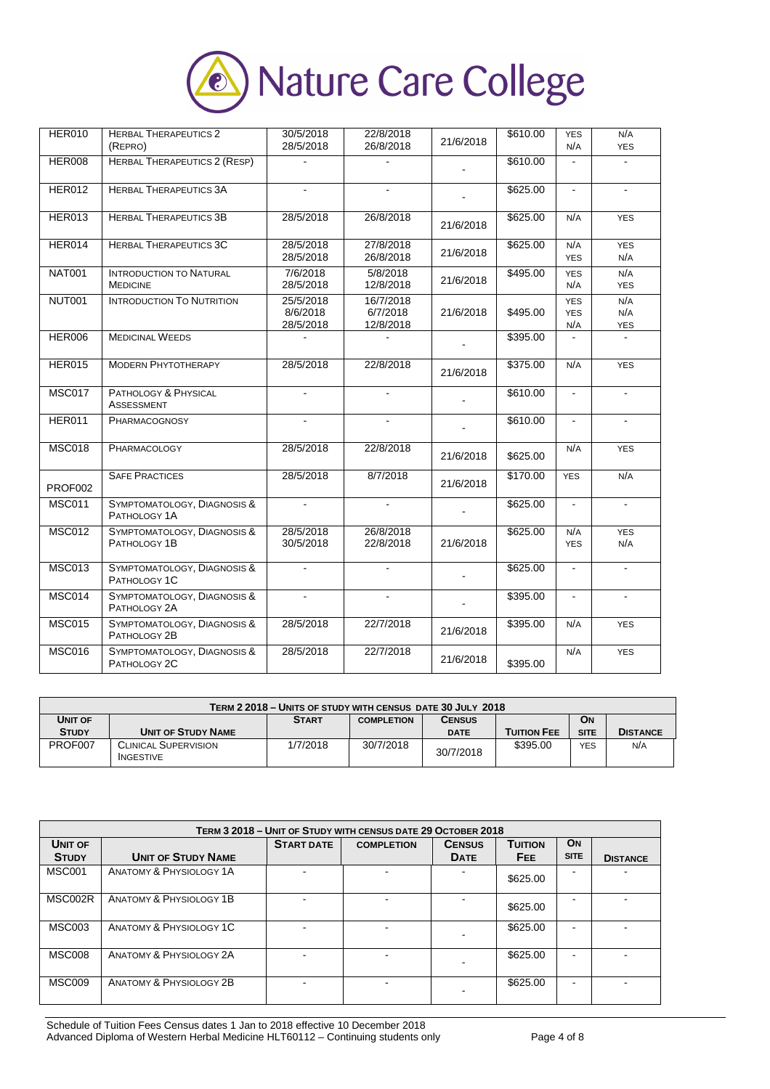

| <b>HER010</b> | <b>HERBAL THERAPEUTICS 2</b><br>(REPRO)           | 30/5/2018<br>28/5/2018             | 22/8/2018<br>26/8/2018             | 21/6/2018 | \$610.00 | <b>YES</b><br>N/A               | N/A<br><b>YES</b>        |
|---------------|---------------------------------------------------|------------------------------------|------------------------------------|-----------|----------|---------------------------------|--------------------------|
| <b>HER008</b> | <b>HERBAL THERAPEUTICS 2 (RESP)</b>               |                                    |                                    |           | \$610.00 |                                 |                          |
| <b>HER012</b> | <b>HERBAL THERAPEUTICS 3A</b>                     |                                    |                                    |           | \$625.00 | $\bar{\phantom{a}}$             |                          |
| <b>HER013</b> | <b>HERBAL THERAPEUTICS 3B</b>                     | 28/5/2018                          | 26/8/2018                          | 21/6/2018 | \$625.00 | N/A                             | <b>YES</b>               |
| HER014        | <b>HERBAL THERAPEUTICS 3C</b>                     | 28/5/2018<br>28/5/2018             | 27/8/2018<br>26/8/2018             | 21/6/2018 | \$625.00 | N/A<br><b>YES</b>               | <b>YES</b><br>N/A        |
| <b>NAT001</b> | <b>INTRODUCTION TO NATURAL</b><br><b>MEDICINE</b> | 7/6/2018<br>28/5/2018              | 5/8/2018<br>12/8/2018              | 21/6/2018 | \$495.00 | <b>YES</b><br>N/A               | N/A<br><b>YES</b>        |
| <b>NUT001</b> | <b>INTRODUCTION TO NUTRITION</b>                  | 25/5/2018<br>8/6/2018<br>28/5/2018 | 16/7/2018<br>6/7/2018<br>12/8/2018 | 21/6/2018 | \$495.00 | <b>YES</b><br><b>YES</b><br>N/A | N/A<br>N/A<br><b>YES</b> |
| <b>HER006</b> | <b>MEDICINAL WEEDS</b>                            |                                    |                                    |           | \$395.00 |                                 |                          |
| <b>HER015</b> | <b>MODERN PHYTOTHERAPY</b>                        | 28/5/2018                          | 22/8/2018                          | 21/6/2018 | \$375.00 | N/A                             | <b>YES</b>               |
| <b>MSC017</b> | PATHOLOGY & PHYSICAL<br><b>ASSESSMENT</b>         | ÷.                                 | $\blacksquare$                     |           | \$610.00 | $\blacksquare$                  | $\blacksquare$           |
| <b>HER011</b> | PHARMACOGNOSY                                     | $\blacksquare$                     |                                    |           | \$610.00 | $\blacksquare$                  | $\blacksquare$           |
| <b>MSC018</b> | PHARMACOLOGY                                      | 28/5/2018                          | 22/8/2018                          | 21/6/2018 | \$625.00 | N/A                             | <b>YES</b>               |
| PROF002       | <b>SAFE PRACTICES</b>                             | 28/5/2018                          | 8/7/2018                           | 21/6/2018 | \$170.00 | <b>YES</b>                      | N/A                      |
| <b>MSC011</b> | SYMPTOMATOLOGY, DIAGNOSIS &<br>PATHOLOGY 1A       | $\overline{a}$                     |                                    |           | \$625.00 | $\overline{a}$                  | $\overline{a}$           |
| <b>MSC012</b> | SYMPTOMATOLOGY, DIAGNOSIS &<br>PATHOLOGY 1B       | 28/5/2018<br>30/5/2018             | 26/8/2018<br>22/8/2018             | 21/6/2018 | \$625.00 | N/A<br><b>YES</b>               | <b>YES</b><br>N/A        |
| <b>MSC013</b> | SYMPTOMATOLOGY, DIAGNOSIS &<br>PATHOLOGY 1C       | ÷.                                 | $\blacksquare$                     |           | \$625.00 | $\blacksquare$                  | $\mathbf{r}$             |
| <b>MSC014</b> | SYMPTOMATOLOGY, DIAGNOSIS &<br>PATHOLOGY 2A       | $\blacksquare$                     | $\blacksquare$                     |           | \$395.00 | $\blacksquare$                  | $\overline{\phantom{a}}$ |
| <b>MSC015</b> | SYMPTOMATOLOGY, DIAGNOSIS &<br>PATHOLOGY 2B       | 28/5/2018                          | 22/7/2018                          | 21/6/2018 | \$395.00 | N/A                             | <b>YES</b>               |
| <b>MSC016</b> | SYMPTOMATOLOGY, DIAGNOSIS &<br>PATHOLOGY 2C       | 28/5/2018                          | 22/7/2018                          | 21/6/2018 | \$395.00 | N/A                             | <b>YES</b>               |

| TERM 2 2018 - UNITS OF STUDY WITH CENSUS DATE 30 JULY 2018 |                                                 |              |                   |               |                    |             |                 |
|------------------------------------------------------------|-------------------------------------------------|--------------|-------------------|---------------|--------------------|-------------|-----------------|
| <b>UNIT OF</b>                                             |                                                 | <b>START</b> | <b>COMPLETION</b> | <b>CENSUS</b> |                    | <b>ON</b>   |                 |
| <b>STUDY</b>                                               | <b>UNIT OF STUDY NAME</b>                       |              |                   | <b>DATE</b>   | <b>TUITION FEE</b> | <b>SITE</b> | <b>DISTANCE</b> |
| PROF007                                                    | <b>CLINICAL SUPERVISION</b><br><b>INGESTIVE</b> | 1/7/2018     | 30/7/2018         | 30/7/2018     | \$395.00           | <b>YES</b>  | N/A             |

| TERM 3 2018 - UNIT OF STUDY WITH CENSUS DATE 29 OCTOBER 2018 |                                    |                   |                   |               |                |             |                 |
|--------------------------------------------------------------|------------------------------------|-------------------|-------------------|---------------|----------------|-------------|-----------------|
| UNIT OF                                                      |                                    | <b>START DATE</b> | <b>COMPLETION</b> | <b>CENSUS</b> | <b>TUITION</b> | <b>ON</b>   |                 |
| <b>STUDY</b>                                                 | <b>UNIT OF STUDY NAME</b>          |                   |                   | <b>DATE</b>   | <b>FEE</b>     | <b>SITE</b> | <b>DISTANCE</b> |
| <b>MSC001</b>                                                | ANATOMY & PHYSIOLOGY 1A            |                   |                   |               | \$625.00       |             |                 |
| MSC002R                                                      | <b>ANATOMY &amp; PHYSIOLOGY 1B</b> |                   |                   |               | \$625.00       |             |                 |
| <b>MSC003</b>                                                | ANATOMY & PHYSIOLOGY 1C            |                   |                   |               | \$625.00       | -           |                 |
| <b>MSC008</b>                                                | <b>ANATOMY &amp; PHYSIOLOGY 2A</b> |                   |                   |               | \$625.00       | -           |                 |
| <b>MSC009</b>                                                | <b>ANATOMY &amp; PHYSIOLOGY 2B</b> |                   |                   |               | \$625.00       |             |                 |

Schedule of Tuition Fees Census dates 1 Jan to 2018 effective 10 December 2018 Advanced Diploma of Western Herbal Medicine HLT60112 - Continuing students only Page 4 of 8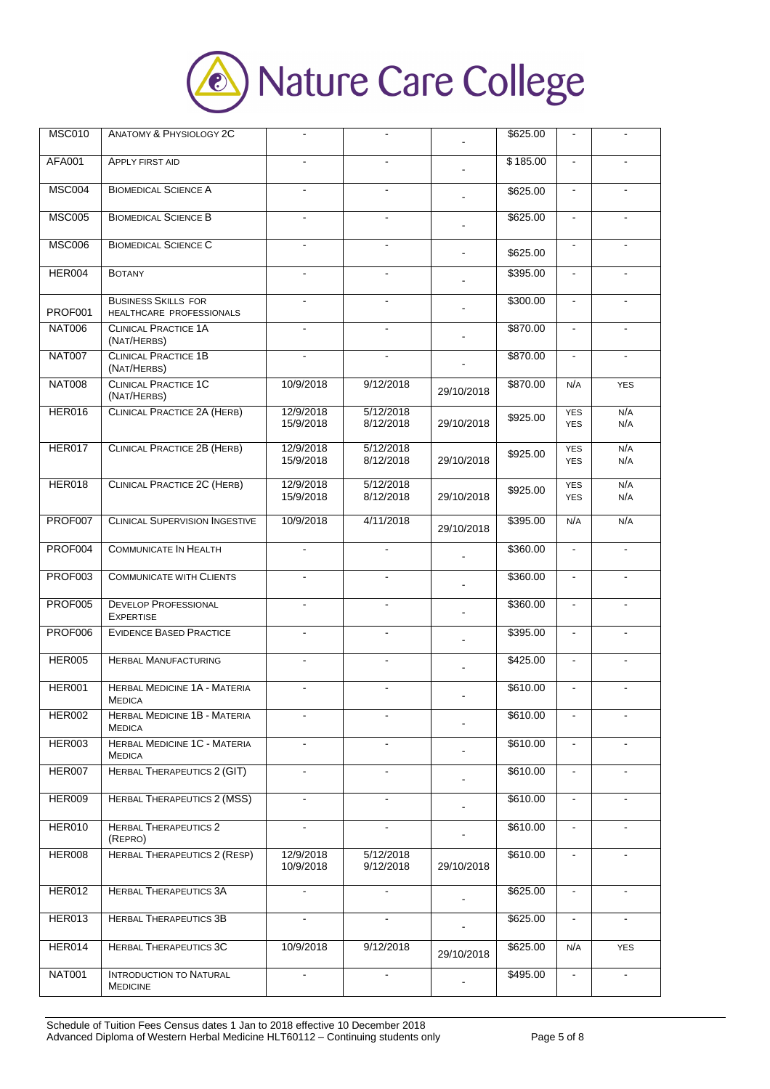

| <b>MSC010</b>  | <b>ANATOMY &amp; PHYSIOLOGY 2C</b>                     |                        |                        |                | \$625.00 | $\blacksquare$           |                |
|----------------|--------------------------------------------------------|------------------------|------------------------|----------------|----------|--------------------------|----------------|
| <b>AFA001</b>  | <b>APPLY FIRST AID</b>                                 |                        |                        |                | \$185.00 | $\blacksquare$           |                |
| <b>MSC004</b>  | <b>BIOMEDICAL SCIENCE A</b>                            |                        |                        |                | \$625.00 | $\blacksquare$           |                |
| <b>MSC005</b>  | <b>BIOMEDICAL SCIENCE B</b>                            |                        |                        |                | \$625.00 | $\mathbf{r}$             |                |
| <b>MSC006</b>  | <b>BIOMEDICAL SCIENCE C</b>                            | ä,                     | $\mathbf{r}$           | $\blacksquare$ | \$625.00 | $\blacksquare$           |                |
| HER004         | <b>BOTANY</b>                                          |                        |                        |                | \$395.00 | $\blacksquare$           |                |
| PROF001        | <b>BUSINESS SKILLS FOR</b><br>HEALTHCARE PROFESSIONALS | $\blacksquare$         | $\sim$                 |                | \$300.00 | $\omega$                 | $\blacksquare$ |
| <b>NAT006</b>  | <b>CLINICAL PRACTICE 1A</b><br>(NAT/HERBS)             | $\blacksquare$         | $\mathbf{r}$           |                | \$870.00 | $\blacksquare$           |                |
| <b>NAT007</b>  | <b>CLINICAL PRACTICE 1B</b><br>(NAT/HERBS)             |                        |                        |                | \$870.00 | $\blacksquare$           |                |
| <b>NAT008</b>  | <b>CLINICAL PRACTICE 1C</b><br>(NAT/HERBS)             | 10/9/2018              | 9/12/2018              | 29/10/2018     | \$870.00 | N/A                      | <b>YES</b>     |
| <b>HER016</b>  | <b>CLINICAL PRACTICE 2A (HERB)</b>                     | 12/9/2018<br>15/9/2018 | 5/12/2018<br>8/12/2018 | 29/10/2018     | \$925.00 | <b>YES</b><br><b>YES</b> | N/A<br>N/A     |
| HER017         | <b>CLINICAL PRACTICE 2B (HERB)</b>                     | 12/9/2018<br>15/9/2018 | 5/12/2018<br>8/12/2018 | 29/10/2018     | \$925.00 | <b>YES</b><br><b>YES</b> | N/A<br>N/A     |
| HER018         | <b>CLINICAL PRACTICE 2C (HERB)</b>                     | 12/9/2018<br>15/9/2018 | 5/12/2018<br>8/12/2018 | 29/10/2018     | \$925.00 | <b>YES</b><br><b>YES</b> | N/A<br>N/A     |
| PROF007        | <b>CLINICAL SUPERVISION INGESTIVE</b>                  | 10/9/2018              | 4/11/2018              | 29/10/2018     | \$395.00 | N/A                      | N/A            |
| PROF004        | <b>COMMUNICATE IN HEALTH</b>                           | ÷.                     | $\sim$                 |                | \$360.00 | $\blacksquare$           | $\blacksquare$ |
| PROF003        | <b>COMMUNICATE WITH CLIENTS</b>                        | $\blacksquare$         |                        |                | \$360.00 | $\blacksquare$           | $\blacksquare$ |
| <b>PROF005</b> | <b>DEVELOP PROFESSIONAL</b><br><b>EXPERTISE</b>        | L.                     | $\blacksquare$         |                | \$360.00 | $\blacksquare$           |                |
| PROF006        | <b>EVIDENCE BASED PRACTICE</b>                         | $\blacksquare$         | $\overline{a}$         |                | \$395.00 | $\blacksquare$           | $\blacksquare$ |
| <b>HER005</b>  | <b>HERBAL MANUFACTURING</b>                            |                        |                        |                | \$425.00 | $\blacksquare$           |                |
| <b>HER001</b>  | <b>HERBAL MEDICINE 1A - MATERIA</b><br><b>MEDICA</b>   |                        |                        |                | \$610.00 | $\blacksquare$           |                |
| <b>HER002</b>  | HERBAL MEDICINE 1B - MATERIA<br><b>MEDICA</b>          |                        |                        |                | \$610.00 | $\blacksquare$           |                |
| <b>HER003</b>  | <b>HERBAL MEDICINE 1C - MATERIA</b><br><b>MEDICA</b>   | $\blacksquare$         | $\sim$                 |                | \$610.00 | $\blacksquare$           | $\blacksquare$ |
| <b>HER007</b>  | HERBAL THERAPEUTICS 2 (GIT)                            | $\blacksquare$         |                        |                | \$610.00 | $\blacksquare$           |                |
| <b>HER009</b>  | <b>HERBAL THERAPEUTICS 2 (MSS)</b>                     |                        |                        |                | \$610.00 | $\blacksquare$           |                |
| <b>HER010</b>  | <b>HERBAL THERAPEUTICS 2</b><br>(REPRO)                | $\blacksquare$         | $\blacksquare$         |                | \$610.00 | $\blacksquare$           |                |
| HER008         | <b>HERBAL THERAPEUTICS 2 (RESP)</b>                    | 12/9/2018<br>10/9/2018 | 5/12/2018<br>9/12/2018 | 29/10/2018     | \$610.00 |                          |                |
| <b>HER012</b>  | <b>HERBAL THERAPEUTICS 3A</b>                          | ÷.                     | $\mathbf{r}$           | $\blacksquare$ | \$625.00 | $\omega$                 | $\blacksquare$ |
| HER013         | <b>HERBAL THERAPEUTICS 3B</b>                          | $\blacksquare$         | $\blacksquare$         |                | \$625.00 | $\blacksquare$           |                |
| HER014         | <b>HERBAL THERAPEUTICS 3C</b>                          | 10/9/2018              | 9/12/2018              | 29/10/2018     | \$625.00 | N/A                      | <b>YES</b>     |
| <b>NAT001</b>  | <b>INTRODUCTION TO NATURAL</b><br><b>MEDICINE</b>      | $\blacksquare$         | $\blacksquare$         | $\blacksquare$ | \$495.00 | $\blacksquare$           | $\blacksquare$ |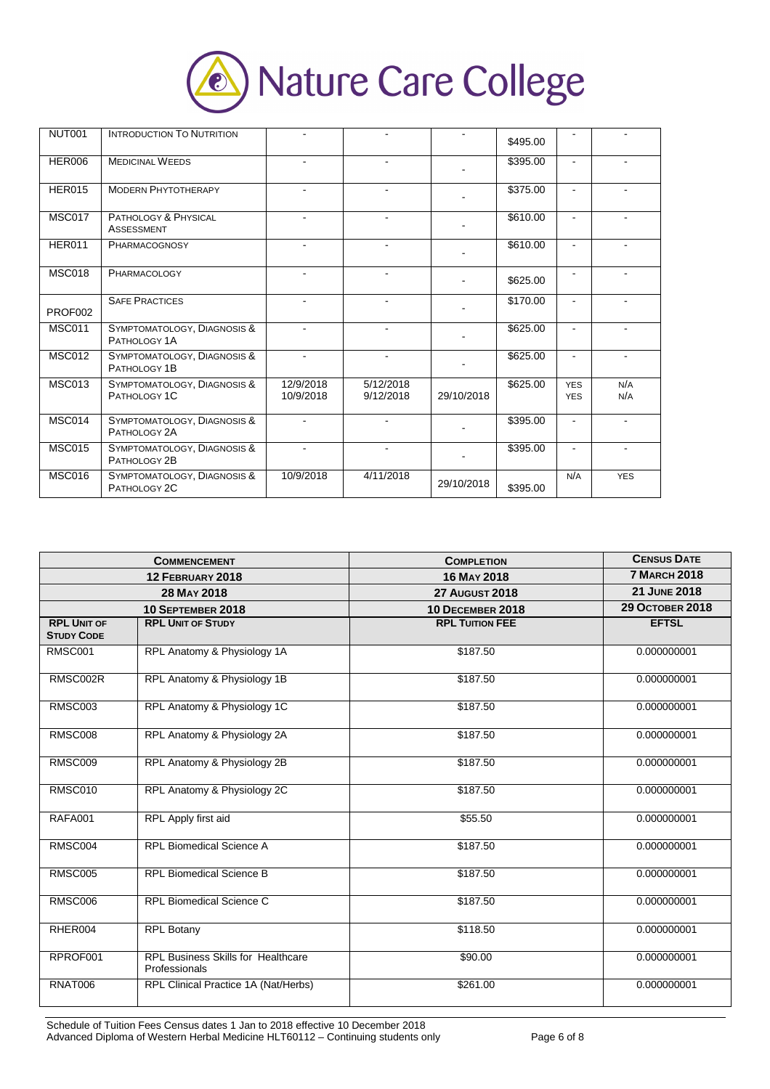

| <b>NUT001</b> | <b>INTRODUCTION TO NUTRITION</b>            |                        |                        |            | \$495.00 |                          |            |
|---------------|---------------------------------------------|------------------------|------------------------|------------|----------|--------------------------|------------|
| <b>HER006</b> | <b>MEDICINAL WEEDS</b>                      |                        |                        |            | \$395.00 | $\blacksquare$           |            |
| <b>HER015</b> | <b>MODERN PHYTOTHERAPY</b>                  |                        |                        |            | \$375.00 |                          |            |
| MSC017        | PATHOLOGY & PHYSICAL<br><b>ASSESSMENT</b>   |                        | Ξ.                     |            | \$610.00 | $\blacksquare$           |            |
| <b>HER011</b> | PHARMACOGNOSY                               |                        | ۰                      |            | \$610.00 | $\blacksquare$           |            |
| <b>MSC018</b> | PHARMACOLOGY                                |                        |                        |            | \$625.00 |                          |            |
| PROF002       | <b>SAFE PRACTICES</b>                       | $\mathbf{r}$           |                        |            | \$170.00 | $\blacksquare$           |            |
| <b>MSC011</b> | SYMPTOMATOLOGY, DIAGNOSIS &<br>PATHOLOGY 1A |                        |                        |            | \$625.00 | $\overline{a}$           |            |
| <b>MSC012</b> | SYMPTOMATOLOGY, DIAGNOSIS &<br>PATHOLOGY 1B | $\overline{a}$         | ÷.                     |            | \$625.00 | $\blacksquare$           |            |
| <b>MSC013</b> | SYMPTOMATOLOGY, DIAGNOSIS &<br>PATHOLOGY 1C | 12/9/2018<br>10/9/2018 | 5/12/2018<br>9/12/2018 | 29/10/2018 | \$625.00 | <b>YES</b><br><b>YES</b> | N/A<br>N/A |
| MSC014        | SYMPTOMATOLOGY, DIAGNOSIS &<br>PATHOLOGY 2A |                        |                        |            | \$395.00 | $\blacksquare$           |            |
| <b>MSC015</b> | SYMPTOMATOLOGY, DIAGNOSIS &<br>PATHOLOGY 2B |                        | ۰                      |            | \$395.00 | $\blacksquare$           |            |
| <b>MSC016</b> | SYMPTOMATOLOGY, DIAGNOSIS &<br>PATHOLOGY 2C | 10/9/2018              | 4/11/2018              | 29/10/2018 | \$395.00 | N/A                      | <b>YES</b> |

|                                         | <b>COMMENCEMENT</b>                                        | <b>COMPLETION</b>       | <b>CENSUS DATE</b>     |  |  |
|-----------------------------------------|------------------------------------------------------------|-------------------------|------------------------|--|--|
|                                         | 12 FEBRUARY 2018                                           | 16 MAY 2018             | <b>7 MARCH 2018</b>    |  |  |
|                                         | 28 MAY 2018                                                | <b>27 AUGUST 2018</b>   | 21 JUNE 2018           |  |  |
|                                         | 10 SEPTEMBER 2018                                          | <b>10 DECEMBER 2018</b> | <b>29 OCTOBER 2018</b> |  |  |
| <b>RPL UNIT OF</b><br><b>STUDY CODE</b> | <b>RPL UNIT OF STUDY</b>                                   | <b>RPL TUITION FEE</b>  | <b>EFTSL</b>           |  |  |
| <b>RMSC001</b>                          | RPL Anatomy & Physiology 1A                                | \$187.50                | 0.000000001            |  |  |
| RMSC002R                                | RPL Anatomy & Physiology 1B                                | \$187.50                | 0.000000001            |  |  |
| <b>RMSC003</b>                          | RPL Anatomy & Physiology 1C                                | \$187.50                | 0.000000001            |  |  |
| <b>RMSC008</b>                          | RPL Anatomy & Physiology 2A                                | \$187.50                | 0.000000001            |  |  |
| RMSC009                                 | RPL Anatomy & Physiology 2B                                | \$187.50                | 0.000000001            |  |  |
| <b>RMSC010</b>                          | RPL Anatomy & Physiology 2C                                | \$187.50                | 0.000000001            |  |  |
| <b>RAFA001</b>                          | RPL Apply first aid                                        | \$55.50                 | 0.000000001            |  |  |
| RMSC004                                 | <b>RPL Biomedical Science A</b>                            | \$187.50                | 0.000000001            |  |  |
| <b>RMSC005</b>                          | <b>RPL Biomedical Science B</b>                            | \$187.50                | 0.000000001            |  |  |
| <b>RMSC006</b>                          | RPL Biomedical Science C                                   | \$187.50                | 0.000000001            |  |  |
| RHER004                                 | <b>RPL Botany</b>                                          | \$118.50                | 0.000000001            |  |  |
| RPROF001                                | <b>RPL Business Skills for Healthcare</b><br>Professionals | \$90.00                 | 0.000000001            |  |  |
| RNAT006                                 | RPL Clinical Practice 1A (Nat/Herbs)                       | \$261.00                | 0.000000001            |  |  |

Schedule of Tuition Fees Census dates 1 Jan to 2018 effective 10 December 2018 Advanced Diploma of Western Herbal Medicine HLT60112 – Continuing students only Page 6 of 8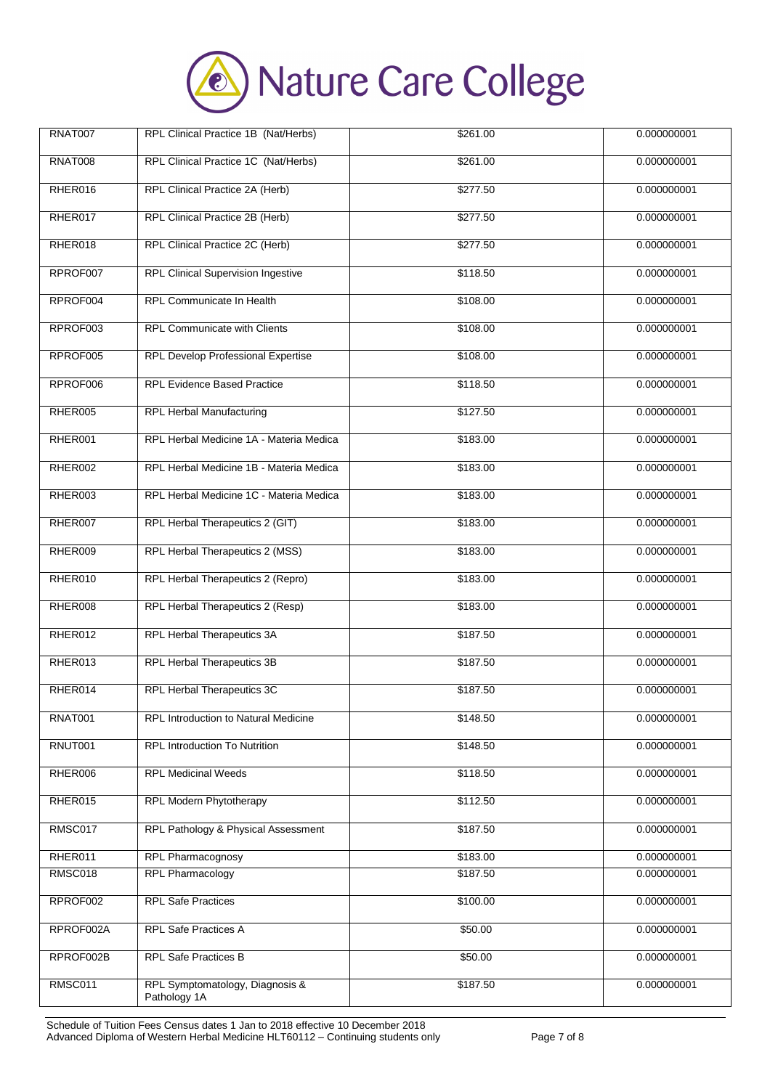

| <b>RNAT007</b> | RPL Clinical Practice 1B (Nat/Herbs)            | \$261.00 | 0.000000001 |
|----------------|-------------------------------------------------|----------|-------------|
| <b>RNAT008</b> | RPL Clinical Practice 1C (Nat/Herbs)            | \$261.00 | 0.000000001 |
| RHER016        | RPL Clinical Practice 2A (Herb)                 | \$277.50 | 0.000000001 |
| RHER017        | RPL Clinical Practice 2B (Herb)                 | \$277.50 | 0.000000001 |
| RHER018        | RPL Clinical Practice 2C (Herb)                 | \$277.50 | 0.000000001 |
| RPROF007       | <b>RPL Clinical Supervision Ingestive</b>       | \$118.50 | 0.000000001 |
| RPROF004       | RPL Communicate In Health                       | \$108.00 | 0.000000001 |
| RPROF003       | <b>RPL Communicate with Clients</b>             | \$108.00 | 0.000000001 |
| RPROF005       | RPL Develop Professional Expertise              | \$108.00 | 0.000000001 |
| RPROF006       | <b>RPL Evidence Based Practice</b>              | \$118.50 | 0.000000001 |
| RHER005        | <b>RPL Herbal Manufacturing</b>                 | \$127.50 | 0.000000001 |
| RHER001        | RPL Herbal Medicine 1A - Materia Medica         | \$183.00 | 0.000000001 |
| RHER002        | RPL Herbal Medicine 1B - Materia Medica         | \$183.00 | 0.000000001 |
| RHER003        | RPL Herbal Medicine 1C - Materia Medica         | \$183.00 | 0.000000001 |
| RHER007        | RPL Herbal Therapeutics 2 (GIT)                 | \$183.00 | 0.000000001 |
| RHER009        | RPL Herbal Therapeutics 2 (MSS)                 | \$183.00 | 0.000000001 |
| RHER010        | RPL Herbal Therapeutics 2 (Repro)               | \$183.00 | 0.000000001 |
| RHER008        | RPL Herbal Therapeutics 2 (Resp)                | \$183.00 | 0.000000001 |
| RHER012        | RPL Herbal Therapeutics 3A                      | \$187.50 | 0.000000001 |
| RHER013        | RPL Herbal Therapeutics 3B                      | \$187.50 | 0.000000001 |
| RHER014        | RPL Herbal Therapeutics 3C                      | \$187.50 | 0.000000001 |
| <b>RNAT001</b> | RPL Introduction to Natural Medicine            | \$148.50 | 0.000000001 |
| RNUT001        | RPL Introduction To Nutrition                   | \$148.50 | 0.000000001 |
| RHER006        | <b>RPL Medicinal Weeds</b>                      | \$118.50 | 0.000000001 |
| RHER015        | <b>RPL Modern Phytotherapy</b>                  | \$112.50 | 0.000000001 |
| RMSC017        | RPL Pathology & Physical Assessment             | \$187.50 | 0.000000001 |
| RHER011        | <b>RPL Pharmacognosy</b>                        | \$183.00 | 0.000000001 |
| RMSC018        | <b>RPL Pharmacology</b>                         | \$187.50 | 0.000000001 |
| RPROF002       | <b>RPL Safe Practices</b>                       | \$100.00 | 0.000000001 |
| RPROF002A      | RPL Safe Practices A                            | \$50.00  | 0.000000001 |
| RPROF002B      | RPL Safe Practices B                            | \$50.00  | 0.000000001 |
| RMSC011        | RPL Symptomatology, Diagnosis &<br>Pathology 1A | \$187.50 | 0.000000001 |